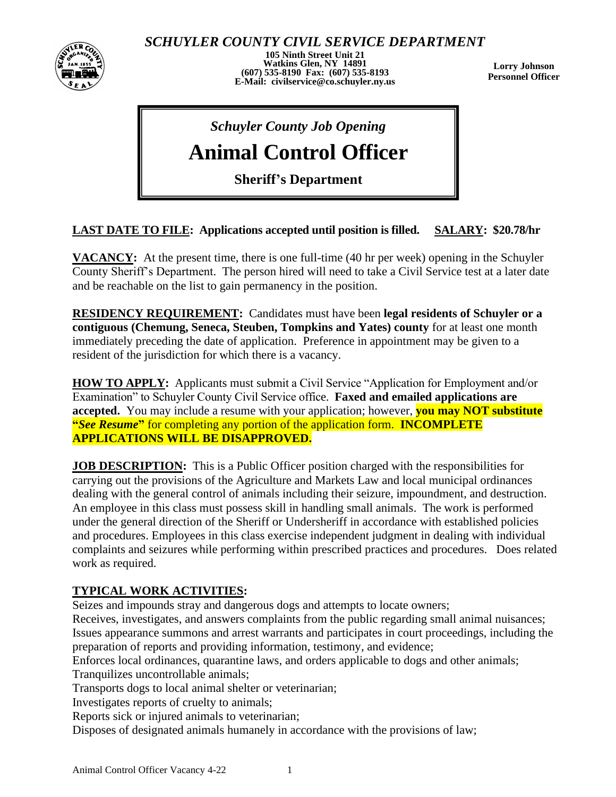

*SCHUYLER COUNTY CIVIL SERVICE DEPARTMENT*

**105 Ninth Street Unit 21 Watkins Glen, NY 14891 (607) 535-8190 Fax: (607) 535-8193 E-Mail: civilservice@co.schuyler.ny.us**

**Lorry Johnson Personnel Officer**

## *Schuyler County Job Opening*

# **Animal Control Officer**

**Sheriff's Department**

### **LAST DATE TO FILE: Applications accepted until position is filled. SALARY: \$20.78/hr**

**VACANCY:** At the present time, there is one full-time (40 hr per week) opening in the Schuyler County Sheriff's Department. The person hired will need to take a Civil Service test at a later date and be reachable on the list to gain permanency in the position.

**RESIDENCY REQUIREMENT:** Candidates must have been **legal residents of Schuyler or a contiguous (Chemung, Seneca, Steuben, Tompkins and Yates) county** for at least one month immediately preceding the date of application. Preference in appointment may be given to a resident of the jurisdiction for which there is a vacancy.

**HOW TO APPLY:** Applicants must submit a Civil Service "Application for Employment and/or Examination" to Schuyler County Civil Service office. **Faxed and emailed applications are accepted.** You may include a resume with your application; however, **you may NOT substitute "***See Resume***"** for completing any portion of the application form. **INCOMPLETE APPLICATIONS WILL BE DISAPPROVED.**

**JOB DESCRIPTION:** This is a Public Officer position charged with the responsibilities for carrying out the provisions of the Agriculture and Markets Law and local municipal ordinances dealing with the general control of animals including their seizure, impoundment, and destruction. An employee in this class must possess skill in handling small animals. The work is performed under the general direction of the Sheriff or Undersheriff in accordance with established policies and procedures. Employees in this class exercise independent judgment in dealing with individual complaints and seizures while performing within prescribed practices and procedures.Does related work as required.

#### **TYPICAL WORK ACTIVITIES:**

Seizes and impounds stray and dangerous dogs and attempts to locate owners;

Receives, investigates, and answers complaints from the public regarding small animal nuisances; Issues appearance summons and arrest warrants and participates in court proceedings, including the preparation of reports and providing information, testimony, and evidence;

Enforces local ordinances, quarantine laws, and orders applicable to dogs and other animals; Tranquilizes uncontrollable animals;

Transports dogs to local animal shelter or veterinarian;

Investigates reports of cruelty to animals;

Reports sick or injured animals to veterinarian;

Disposes of designated animals humanely in accordance with the provisions of law;